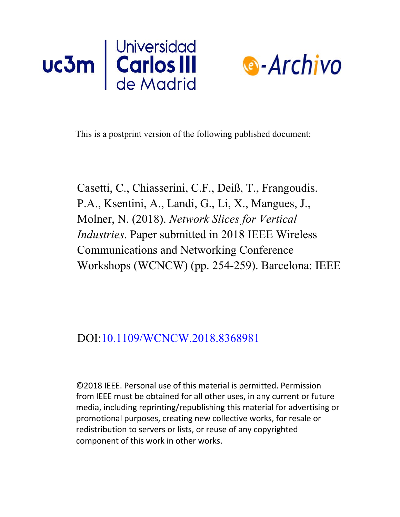



This is a postprint version of the following published document:

Casetti, C., Chiasserini, C.F., Deiß, T., Frangoudis. P.A., Ksentini, A., Landi, G., Li, X., Mangues, J., Molner, N. (2018). *Network Slices for Vertical Industries*. Paper submitted in 2018 IEEE Wireless Communications and Networking Conference Workshops (WCNCW) (pp. 254-259). Barcelona: IEEE

## DOI[:10.1109/WCNCW.2018.8368981](https://doi.org/10.1109/WCNCW.2018.8368981)

©2018 IEEE. Personal use of this material is permitted. Permission from IEEE must be obtained for all other uses, in any current or future media, including reprinting/republishing this material for advertising or promotional purposes, creating new collective works, for resale or redistribution to servers or lists, or reuse of any copyrighted component of this work in other works.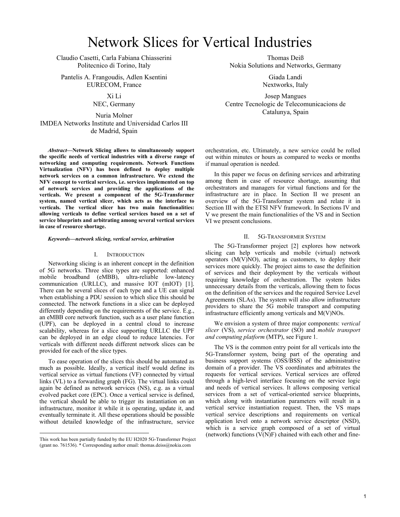# Network Slices for Vertical Industries

Claudio Casetti, Carla Fabiana Chiasserini Politecnico di Torino, Italy

Pantelis A. Frangoudis, Adlen Ksentini EURECOM, France

Xi Li

NEC, Germany

Nuria Molner IMDEA Networks Institute and Universidad Carlos III de Madrid, Spain

*Abstract***—Network Slicing allows to simultaneously support the specific needs of vertical industries with a diverse range of networking and computing requirements. Network Functions Virtualization (NFV) has been defined to deploy multiple network services on a common infrastructure. We extend the NFV concept to vertical services, i.e. services implemented on top of network services and providing the applications of the verticals. We present a component of the 5G-Transformer system, named vertical slicer, which acts as the interface to verticals. The vertical slicer has two main functionalities: allowing verticals to define vertical services based on a set of service blueprints and arbitrating among several vertical services in case of resource shortage.** 

#### *Keywords—network slicing, vertical service, arbitration*

## I. INTRODUCTION

Networking slicing is an inherent concept in the definition of 5G networks. Three slice types are supported: enhanced mobile broadband (eMBB), ultra-reliable low-latency communication (URLLC), and massive IOT (mIOT) [1]. There can be several slices of each type and a UE can signal when establishing a PDU session to which slice this should be connected. The network functions in a slice can be deployed differently depending on the requirements of the service. E.g., an eMBB core network function, such as a user plane function (UPF), can be deployed in a central cloud to increase scalability, whereas for a slice supporting URLLC the UPF can be deployed in an edge cloud to reduce latencies. For verticals with different needs different network slices can be provided for each of the slice types.

To ease operation of the slices this should be automated as much as possible. Ideally, a vertical itself would define its vertical service as virtual functions (VF) connected by virtual links (VL) to a forwarding graph (FG). The virtual links could again be defined as network services (NS), e.g. as a virtual evolved packet core (EPC). Once a vertical service is defined, the vertical should be able to trigger its instantiation on an infrastructure, monitor it while it is operating, update it, and eventually terminate it. All these operations should be possible without detailed knowledge of the infrastructure, service

Thomas Deiß Nokia Solutions and Networks, Germany

> Giada Landi Nextworks, Italy

Josep Mangues Centre Tecnologic de Telecomunicacions de Catalunya, Spain

orchestration, etc. Ultimately, a new service could be rolled out within minutes or hours as compared to weeks or months if manual operation is needed.

In this paper we focus on defining services and arbitrating among them in case of resource shortage, assuming that orchestrators and managers for virtual functions and for the infrastructure are in place. In Section II we present an overview of the 5G-Transformer system and relate it in Section III with the ETSI NFV framework. In Sections IV and V we present the main functionalities of the VS and in Section VI we present conclusions.

## II. 5G-TRANSFORMER SYSTEM

The 5G-Transformer project [2] explores how network slicing can help verticals and mobile (virtual) network operators (M(V)NO), acting as customers, to deploy their services more quickly. The project aims to ease the definition of services and their deployment by the verticals without requiring knowledge of orchestration. The system hides unnecessary details from the verticals, allowing them to focus on the definition of the services and the required Service Level Agreements (SLAs). The system will also allow infrastructure providers to share the 5G mobile transport and computing infrastructure efficiently among verticals and M(V)NOs.

We envision a system of three major components: *vertical slicer* (VS), *service orchestrator* (SO) and *mobile transport and computing platform* (MTP), see Figure 1.

The VS is the common entry point for all verticals into the 5G-Transformer system, being part of the operating and business support systems (OSS/BSS) of the administrative domain of a provider. The VS coordinates and arbitrates the requests for vertical services. Vertical services are offered through a high-level interface focusing on the service logic and needs of vertical services. It allows composing vertical services from a set of vertical-oriented service blueprints, which along with instantiation parameters will result in a vertical service instantiation request. Then, the VS maps vertical service descriptions and requirements on vertical application level onto a network service descriptor (NSD), which is a service graph composed of a set of virtual (network) functions  $(\overline{V(N)}F)$  chained with each other and fine-

This work has been partially funded by the EU H2020 5G-Transformer Project (grant no. 761536). \* Corresponding author email: thomas.deiss@nokia.com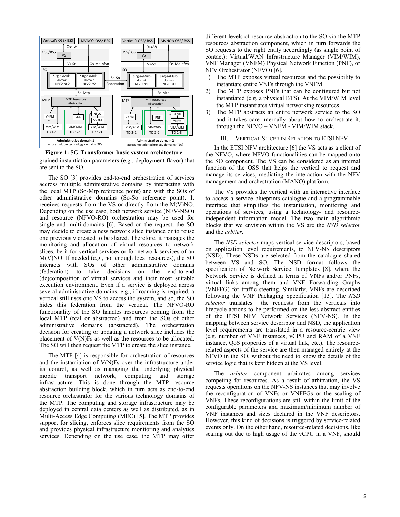

**Figure 1: 5G-Transformer basic system architecture**

grained instantiation parameters (e.g., deployment flavor) that are sent to the SO.

The SO [3] provides end-to-end orchestration of services accross multiple administrative domains by interacting with the local MTP (So-Mtp reference point) and with the SOs of other administrative domains (So-So reference point). It receives requests from the VS or directly from the M(V)NO. Depending on the use case, both network service (NFV-NSO) and resource (NFVO-RO) orchestration may be used for single and multi-domains [6]. Based on the request, the SO may decide to create a new network slice instance or to reuse one previously created to be shared. Therefore, it manages the monitoring and allocation of virtual resources to network slices, be it for vertical services or for network services of an M(V)NO. If needed (e.g., not enough local resources), the SO interacts with SOs of other administrative domains (federation) to take decisions on the end-to-end (de)composition of virtual services and their most suitable execution environment. Even if a service is deployed across several administrative domains, e.g., if roaming is required, a vertical still uses one VS to access the system, and so, the SO hides this federation from the vertical. The NFVO-RO functionality of the SO handles resources coming from the local MTP (real or abstracted) and from the SOs of other administrative domains (abstracted). The orchestration decision for creating or updating a network slice includes the placement of V(N)Fs as well as the resources to be allocated. The SO will then request the MTP to create the slice instance.

The MTP [4] is responsible for orchestration of resources and the instantiation of V(N)Fs over the infrastructure under its control, as well as managing the underlying physical mobile transport network, computing and storage infrastructure. This is done through the MTP resource abstraction building block, which in turn acts as end-to-end resource orchestrator for the various technology domains of the MTP. The computing and storage infrastructure may be deployed in central data centers as well as distributed, as in Multi-Access Edge Computing (MEC) [5]. The MTP provides support for slicing, enforces slice requirements from the SO and provides physical infrastructure monitoring and analytics services. Depending on the use case, the MTP may offer

different levels of resource abstraction to the SO via the MTP resources abstraction component, which in turn forwards the SO requests to the right entity accordingly (as single point of contact): Virtual/WAN Infrastructure Manager (VIM/WIM), VNF Manager (VNFM) Physical Network Function (PNF), or NFV Orchestrator (NFVO) [6].

- 1) The MTP exposes virtual resources and the possibility to instantiate entire VNFs through the VNFM.
- 2) The MTP exposes PNFs that can be configured but not instantiated (e.g. a physical BTS). At the VIM/WIM level the MTP instantiates virtual networking resources.
- 3) The MTP abstracts an entire network service to the SO and it takes care internally about how to orchestrate it, through the NFVO – VNFM - VIM/WIM stack.

## III. VERTICAL SLICER IN RELATION TO ETSI NFV

In the ETSI NFV architecture [6] the VS acts as a client of the NFVO, where NFVO functionalities can be mapped onto the SO component. The VS can be considered as an internal function of the OSS that helps the vertical to request and manage its services, mediating the interaction with the NFV management and orchestration (MANO) platform.

The VS provides the vertical with an interactive interface to access a service blueprints catalogue and a programmable interface that simplifies the instantiation, monitoring and operations of services, using a technology- and resourceindependent information model. The two main algorithmic blocks that we envision within the VS are the *NSD selector* and the *arbiter*.

The *NSD selector* maps vertical service descriptors, based on application level requirements, to NFV-NS descriptors (NSD). These NSDs are selected from the catalogue shared between VS and SO. The NSD format follows the specification of Network Service Templates [8], where the Network Service is defined in terms of VNFs and/or PNFs, virtual links among them and VNF Forwarding Graphs (VNFFG) for traffic steering. Similarly, VNFs are described following the VNF Packaging Specification [13]. The *NSD selector* translates the requests from the verticals into lifecycle actions to be performed on the less abstract entities of the ETSI NFV Network Services (NFV-NS). In the mapping between service descriptor and NSD, the application level requirements are translated in a resource-centric view (e.g. number of VNF instances, vCPU and RAM of a VNF instance, QoS properties of a virtual link, etc.). The resourcerelated aspects of the service are then managed entirely at the NFVO in the SO, without the need to know the details of the service logic that is kept hidden at the VS level.

The *arbiter* component arbitrates among services competing for resources. As a result of arbitration, the VS requests operations on the NFV-NS instances that may involve the reconfiguration of VNFs or VNFFGs or the scaling of VNFs. These reconfigurations are still within the limit of the configurable parameters and maximum/minimum number of VNF instances and sizes declared in the VNF descriptors. However, this kind of decisions is triggered by service-related events only. On the other hand, resource-related decisions, like scaling out due to high usage of the vCPU in a VNF, should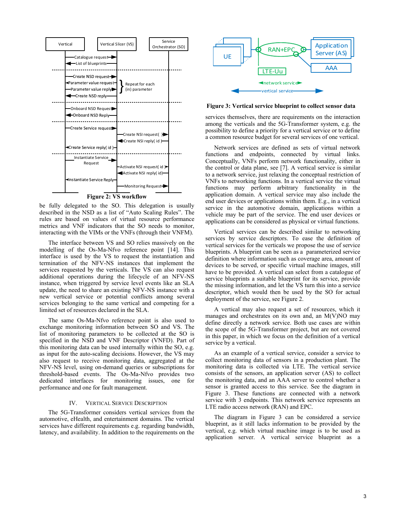

be fully delegated to the SO. This delegation is usually described in the NSD as a list of "Auto Scaling Rules". The rules are based on values of virtual resource performance metrics and VNF indicators that the SO needs to monitor, interacting with the VIMs or the VNFs (through their VNFM).

The interface between VS and SO relies massively on the modelling of the Os-Ma-Nfvo reference point [14]. This interface is used by the VS to request the instantiation and termination of the NFV-NS instances that implement the services requested by the verticals. The VS can also request additional operations during the lifecycle of an NFV-NS instance, when triggered by service level events like an SLA update, the need to share an existing NFV-NS instance with a new vertical service or potential conflicts among several services belonging to the same vertical and competing for a limited set of resources declared in the SLA.

The same Os-Ma-Nfvo reference point is also used to exchange monitoring information between SO and VS. The list of monitoring parameters to be collected at the SO is specified in the NSD and VNF Descriptor (VNFD). Part of this monitoring data can be used internally within the SO, e.g. as input for the auto-scaling decisions. However, the VS may also request to receive monitoring data, aggregated at the NFV-NS level, using on-demand queries or subscriptions for threshold-based events. The Os-Ma-Nfvo provides two dedicated interfaces for monitoring issues, one for performance and one for fault management.

## IV. VERTICAL SERVICE DESCRIPTION

The 5G-Transformer considers vertical services from the automotive, eHealth, and entertainment domains. The vertical services have different requirements e.g. regarding bandwidth, latency, and availability. In addition to the requirements on the



**Figure 3: Vertical service blueprint to collect sensor data**

services themselves, there are requirements on the interaction among the verticals and the 5G-Transformer system, e.g. the possibility to define a priority for a vertical service or to define a common resource budget for several services of one vertical.

Network services are defined as sets of virtual network functions and endpoints, connected by virtual links. Conceptually, VNFs perform network functionality, either in the control or data plane, see [7]. A vertical service is similar to a network service, just relaxing the conceptual restriction of VNFs to networking functions. In a vertical service the virtual functions may perform arbitrary functionality in the application domain. A vertical service may also include the end user devices or applications within them. E.g., in a vertical service in the automotive domain, applications within a vehicle may be part of the service. The end user devices or applications can be considered as physical or virtual functions.

Vertical services can be described similar to networking services by service descriptors. To ease the definition of vertical services for the verticals we propose the use of service blueprints. A blueprint can be seen as a parameterized service definition where information such as coverage area, amount of devices to be served, or specific virtual machine images, still have to be provided. A vertical can select from a catalogue of service blueprints a suitable blueprint for its service, provide the missing information, and let the VS turn this into a service descriptor, which would then be used by the SO for actual deployment of the service, see Figure 2.

A vertical may also request a set of resources, which it manages and orchestrates on its own and, an M(V)NO may define directly a network service. Both use cases are within the scope of the 5G-Transformer project, but are not covered in this paper, in which we focus on the definition of a vertical service by a vertical.

As an example of a vertical service, consider a service to collect monitoring data of sensors in a production plant. The monitoring data is collected via LTE. The vertical service consists of the sensors, an application server (AS) to collect the monitoring data, and an AAA server to control whether a sensor is granted access to this service. See the diagram in Figure 3. These functions are connected with a network service with 3 endpoints. This network service represents an LTE radio access network (RAN) and EPC.

The diagram in Figure 3 can be considered a service blueprint, as it still lacks information to be provided by the vertical, e.g. which virtual machine image is to be used as application server. A vertical service blueprint as a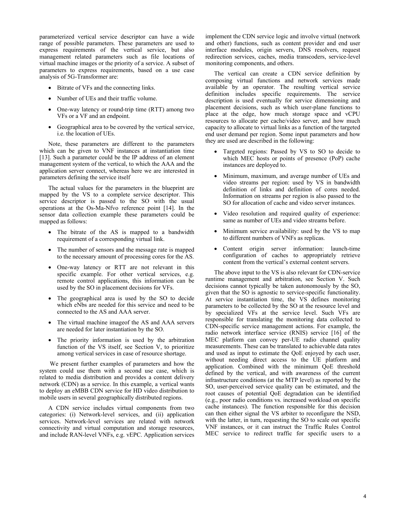parameterized vertical service descriptor can have a wide range of possible parameters. These parameters are used to express requirements of the vertical service, but also management related parameters such as file locations of virtual machine images or the priority of a service. A subset of parameters to express requirements, based on a use case analysis of 5G-Transformer are:

- Bitrate of VFs and the connecting links.
- Number of UEs and their traffic volume.
- One-way latency or round-trip time (RTT) among two VFs or a VF and an endpoint.
- Geographical area to be covered by the vertical service, i.e. the location of UEs.

Note, these parameters are different to the parameters which can be given to VNF instances at instantiation time [13]. Such a parameter could be the IP address of an element management system of the vertical, to which the AAA and the application server connect, whereas here we are interested in parameters defining the service itself

The actual values for the parameters in the blueprint are mapped by the VS to a complete service descriptor. This service descriptor is passed to the SO with the usual operations at the Os-Ma-Nfvo reference point [14]. In the sensor data collection example these parameters could be mapped as follows:

- The bitrate of the AS is mapped to a bandwidth requirement of a corresponding virtual link.
- The number of sensors and the message rate is mapped to the necessary amount of processing cores for the AS.
- One-way latency or RTT are not relevant in this specific example. For other vertical services, e.g. remote control applications, this information can be used by the SO in placement decisions for VFs.
- The geographical area is used by the SO to decide which eNbs are needed for this service and need to be connected to the AS and AAA server.
- The virtual machine imageof the AS and AAA servers are needed for later instantiation by the SO.
- The priority information is used by the arbitration function of the VS itself, see Section V, to prioritize among vertical services in case of resource shortage.

 We present further examples of parameters and how the system could use them with a second use case, which is related to media distribution and provides a content delivery network (CDN) as a service. In this example, a vertical wants to deploy an eMBB CDN service for HD video distribution to mobile users in several geographically distributed regions.

A CDN service includes virtual components from two categories: (i) Network-level services, and (ii) application services. Network-level services are related with network connectivity and virtual computation and storage resources, and include RAN-level VNFs, e.g. vEPC. Application services

implement the CDN service logic and involve virtual (network and other) functions, such as content provider and end user interface modules, origin servers, DNS resolvers, request redirection services, caches, media transcoders, service-level monitoring components, and others.

The vertical can create a CDN service definition by composing virtual functions and network services made available by an operator. The resulting vertical service definition includes specific requirements. The service description is used eventually for service dimensioning and placement decisions, such as which user-plane functions to place at the edge, how much storage space and vCPU resources to allocate per cache/video server, and how much capacity to allocate to virtual links as a function of the targeted end user demand per region. Some input parameters and how they are used are described in the following:

- Targeted regions: Passed by VS to SO to decide to which MEC hosts or points of presence (PoP) cache instances are deployed to.
- Minimum, maximum, and average number of UEs and video streams per region: used by VS in bandwidth definition of links and definition of cores needed. Information on streams per region is also passed to the SO for allocation of cache and video server instances.
- Video resolution and required quality of experience: same as number of UEs and video streams before.
- Minimum service availability: used by the VS to map to different numbers of VNFs as replicas.
- Content origin server information: launch-time configuration of caches to appropriately retrieve content from the vertical's external content servers.

The above input to the VS is also relevant for CDN-service runtime management and arbitration, see Section V. Such decisions cannot typically be taken autonomously by the SO, given that the SO is agnostic to service-specific functionality. At service instantiation time, the VS defines monitoring parameters to be collected by the SO at the resource level and by specialized VFs at the service level. Such VFs are responsible for translating the monitoring data collected to CDN-specific service management actions. For example, the radio network interface service (RNIS) service [16] of the MEC platform can convey per-UE radio channel quality measurements. These can be translated to achievable data rates and used as input to estimate the QoE enjoyed by each user, without needing direct access to the UE platform and application. Combined with the minimum QoE threshold defined by the vertical, and with awareness of the current infrastructure conditions (at the MTP level) as reported by the SO, user-perceived service quality can be estimated, and the root causes of potential QoE degradation can be identified (e.g., poor radio conditions vs. increased workload on specific cache instances). The function responsible for this decision can then either signal the VS arbiter to reconfigure the NSD, with the latter, in turn, requesting the SO to scale out specific VNF instances, or it can instruct the Traffic Rules Control MEC service to redirect traffic for specific users to a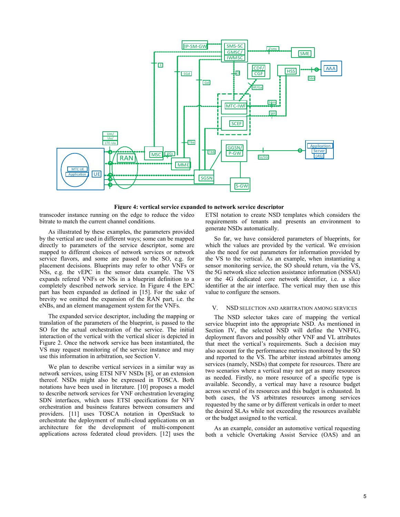

### **Figure 4: vertical service expanded to network service descriptor**

transcoder instance running on the edge to reduce the video bitrate to match the current channel conditions.

As illustrated by these examples, the parameters provided by the vertical are used in different ways; some can be mapped directly to parameters of the service descriptor, some are mapped to different choices of network services or network service flavors, and some are passed to the SO, e.g. for placement decisions. Blueprints may refer to other VNFs or NSs, e.g. the vEPC in the sensor data example. The VS expands refered VNFs or NSs in a blueprint definition to a completely described network service. In Figure 4 the EPC part has been expanded as defined in [15]. For the sake of brevity we omitted the expansion of the RAN part, i.e. the eNBs, and an element management system for the VNFs.

The expanded service descriptor, including the mapping or translation of the parameters of the blueprint, is passed to the SO for the actual orchestration of the service. The initial interaction of the vertical with the vertical slicer is depicted in Figure 2. Once the network service has been instantiated, the VS may request monitoring of the service instance and may use this information in arbitration, see Section V.

We plan to describe vertical services in a similar way as network services, using ETSI NFV NSDs [8], or an extension thereof. NSDs might also be expressed in TOSCA. Both notations have been used in literature. [10] proposes a model to describe network services for VNF orchestration leveraging SDN interfaces, which uses ETSI specifications for NFV orchestration and business features between consumers and providers. [11] uses TOSCA notation in OpenStack to orchestrate the deployment of multi-cloud applications on an architecture for the development of multi-component applications across federated cloud providers. [12] uses the ETSI notation to create NSD templates which considers the requirements of tenants and presents an environment to generate NSDs automatically.

So far, we have considered parameters of blueprints, for which the values are provided by the vertical. We envision also the need for out parameters for information provided by the VS to the vertical. As an example, when instantiating a sensor monitoring service, the SO should return, via the VS, the 5G network slice selection assistance information (NSSAI) or the 4G dedicated core network identifier, i.e. a slice identifier at the air interface. The vertical may then use this value to configure the sensors.

### V. NSD SELECTION AND ARBITRATION AMONG SERVICES

The NSD selector takes care of mapping the vertical service blueprint into the appropriate NSD. As mentioned in Section IV, the selected NSD will define the VNFFG, deployment flavors and possibly other VNF and VL attributes that meet the vertical's requirements. Such a decision may also account for the performance metrics monitored by the SO and reported to the VS. The arbiter instead arbitrates among services (namely, NSDs) that compete for resources. There are two scenarios where a vertical may not get as many resources as needed. Firstly, no more resource of a specific type is available. Secondly, a vertical may have a resource budget across several of its resources and this budget is exhausted. In both cases, the VS arbitrates resources among services requested by the same or by different verticals in order to meet the desired SLAs while not exceeding the resources available or the budget assigned to the vertical.

As an example, consider an automotive vertical requesting both a vehicle Overtaking Assist Service (OAS) and an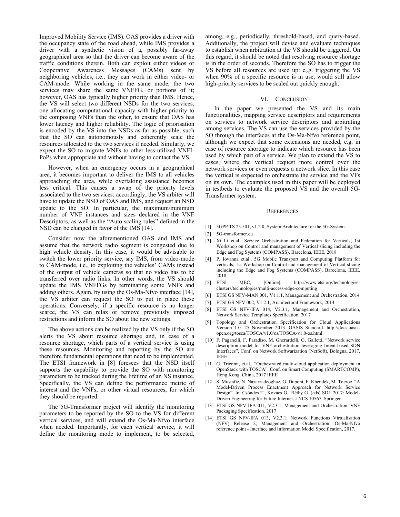Improved Mobility Service (IMS). OAS provides a driver with the occupancy state of the road ahead, while IMS provides a driver with a synthetic vision of a, possibly far-away geographical area so that the driver can become aware of the traffic conditions therein. Both can exploit either videos or Cooperative Awareness Messages (CAMs) sent by neighboring vehicles, i.e., they can work in either video- or CAM-mode. While working in the same mode, the two services may share the same VNFFG, or portions of it; however, OAS has typically higher priority than IMS. Hence, the VS will select two different NSDs for the two services, one allocating computational capacity with higher-priority to the composing VNFs than the other, to ensure that OAS has lower latency and higher reliability. The logic of priorisation is encoded by the VS into the NSDs as far as possible, such that the SO can autonomously and coherently scale the resources allocated to the two services if needed. Similarly, we expect the SO to migrate VNFs to other less-utilized VNFI-PoPs when appropriate and without having to contact the VS.

However, when an emergency occurs in a geographical area, it becomes important to deliver the IMS to all vehicles approaching the area, while overtaking assistance becomes less critical. This causes a swap of the priority levels associated to the two services: accordingly, the VS arbiter will have to update the NSD of OAS and IMS, and request an NSD update to the SO. In particular, the maximum/minimum number of VNF instances and sizes declared in the VNF Descriptors, as well as the "Auto scaling rules" defined in the NSD can be changed in favor of the IMS [14].

Consider now the aforementioned OAS and IMS and assume that the network radio segment is congested due to high vehicle density. In this case, it would be advisable to switch the lower priority service, say IMS, from video-mode to CAM-mode, i.e., to exploiting the vehicles' CAMs instead of the output of vehicle cameras so that no video has to be transferred over radio links. In other words, the VS should update the IMS VNFFGs by terminating some VNFs and adding others. Again, by using the Os-Ma-Nfvo interface [14], the VS arbiter can request the SO to put in place these operations. Conversely, if a specific resource is no longer scarce, the VS can relax or remove previously imposed restrictions and inform the SO about the new settings.

The above actions can be realized by the VS only if the SO alerts the VS about resource shortage and, in case of a resource shortage, which parts of a vertical service is using these resources. Monitoring and reporting by the SO are therefore fundamental operations that need to be implemented. The ETSI framework in [8] foresees that the NSD itself supports the capability to provide the SO with monitoring parameters to be tracked during the lifetime of an NS instance. Specifically, the VS can define the performance metric of interest and the VNFs, or other virtual resources, for which they should be reported.

The 5G-Transformer project will identify the monitoring parameters to be reported by the SO to the VS for different vertical services, and will extend the Os-Ma-Nfvo interface when needed. Importantly, for each vertical service, it will define the monitoring mode to implement, to be selected,

among, e.g., periodically, threshold-based, and query-based. Additionally, the project will devise and evaluate techniques to establish when arbitration at the VS should be triggered. On this regard, it should be noted that resolving resource shortage is in the order of seconds. Therefore the SO has to trigger the VS before all resources are used up: e,.g. triggering the VS when 90% of a specific resource is in use, would still allow high-priority services to be scaled out quickly enough.

#### VI. CONCLUSION

In the paper we presented the VS and its main functionalities, mapping service descriptors and requirements on services to network service descriptors and arbitrating among services. The VS can use the services provided by the SO through the interfaces at the Os-Ma-Nfvo reference point, although we expect that some extensions are needed, e.g. in case of resource shortage to indicate which resource has been used by which part of a service. We plan to extend the VS to cases, where the vertical request more control over the network services or even requests a network slice. In this case the vertical is expected to orchestrate the service and the VFs on its own. The examples used in this paper will be deployed in testbeds to evaluate the proposed VS and the overall 5G-Transformer system.

#### **REFERENCES**

- [1] 3GPP TS 23.501, v1.2.0, System Architecture for the 5G-System.
- [2] 5G-transformer.eu
- [3] Xi Li et.al., Service Orchestration and Federation for Verticals, 1st Workshop on Control and management of Vertical slicing including the Edge and Fog Systems (COMPASS), Barcelona, IEEE, 2018
- [4] P. Iovanna et.al., 5G Mobile Transport and Computing Platform for verticals, 1st Workshop on Control and management of Vertical slicing including the Edge and Fog Systems (COMPASS), Barcelona, IEEE, 2018
- [5] ETSI MEC, [Online], http://www.etsi.org/technologiesclusters/technologies/multi-access-edge-computing
- [6] ETSI GS NFV-MAN 001, V1.1.1, Management and Orchestration, 2014
- [7] ETSI GS NFV 002, V1.2.1, Architectural Framework, 2014
- [8] ETSI GS NFV-IFA 014, V2.3.1, Management and Orchestration, Network Service Templates Specification, 2017
- [9] Topology and Orchestration Specification for Cloud Applications Version 1.0. 25 November 2013. OASIS Standard. http://docs.oasisopen.org/tosca/TOSCA/v1.0/os/TOSCA-v1.0-os.html.
- [10] F. Paganelli, F. Paradiso, M. Gherardelli, G. Galletti, "Network service description model for VNF orchestration leveraging Intent-based SDN Interfaces", Conf. on Network Softwarization (NetSoft), Bologna, 2017, IEEE
- [11] G. Tricomi, et.al., "Orchestrated multi-cloud application deployment in OpenStack with TOSCA", Conf. on Smart Computing (SMARTCOMP), Hong Kong, China, 2017 IEEE
- [12] S. Mustafiz, N. Nazarzadeoghaz, G. Dupont, F. Khendek, M. Toeroe "A Model-Driven Process Enactment Approach for Network Service Design". In: Csöndes T., Kovács G., Réthy G. (eds) SDL 2017: Model-Driven Engineering for Future Internet. LNCS 10567. Springer
- [13] ETSI GS NFV-IFA 011, V2.3.1, Management and Orchestration, VNF Packaging Specification, 2017
- [14] ETSI GS NFV-IFA 013, V2.3.1, Network Functions Virtualisation (NFV) Release 2; Management and Orchestration; Os-Ma-Nfvo reference point - Interface and Information Model Specification, 2017.